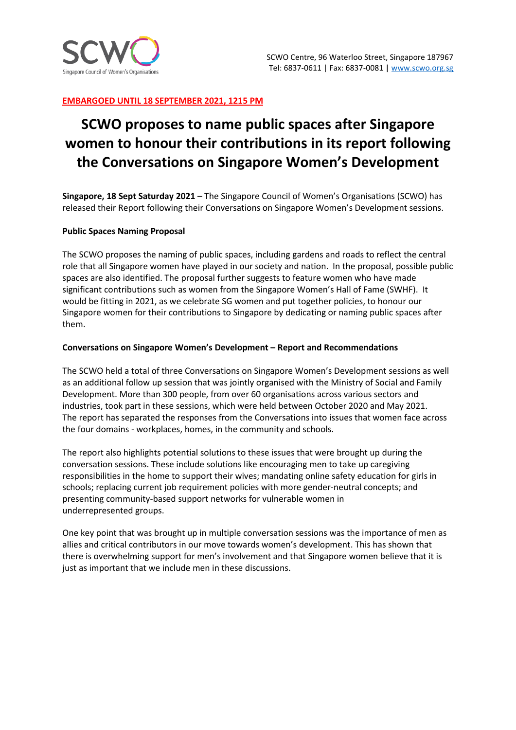

### **EMBARGOED UNTIL 18 SEPTEMBER 2021, 1215 PM**

# **SCWO proposes to name public spaces after Singapore women to honour their contributions in its report following the Conversations on Singapore Women's Development**

**Singapore, 18 Sept Saturday 2021** – The Singapore Council of Women's Organisations (SCWO) has released their Report following their Conversations on Singapore Women's Development sessions.

#### **Public Spaces Naming Proposal**

The SCWO proposes the naming of public spaces, including gardens and roads to reflect the central role that all Singapore women have played in our society and nation. In the proposal, possible public spaces are also identified. The proposal further suggests to feature women who have made significant contributions such as women from the Singapore Women's Hall of Fame (SWHF). It would be fitting in 2021, as we celebrate SG women and put together policies, to honour our Singapore women for their contributions to Singapore by dedicating or naming public spaces after them.

#### **Conversations on Singapore Women's Development – Report and Recommendations**

The SCWO held a total of three Conversations on Singapore Women's Development sessions as well as an additional follow up session that was jointly organised with the Ministry of Social and Family Development. More than 300 people, from over 60 organisations across various sectors and industries, took part in these sessions, which were held between October 2020 and May 2021. The report has separated the responses from the Conversations into issues that women face across the four domains - workplaces, homes, in the community and schools.

The report also highlights potential solutions to these issues that were brought up during the conversation sessions. These include solutions like encouraging men to take up caregiving responsibilities in the home to support their wives; mandating online safety education for girls in schools; replacing current job requirement policies with more gender-neutral concepts; and presenting community-based support networks for vulnerable women in underrepresented groups.

One key point that was brought up in multiple conversation sessions was the importance of men as allies and critical contributors in our move towards women's development. This has shown that there is overwhelming support for men's involvement and that Singapore women believe that it is just as important that we include men in these discussions.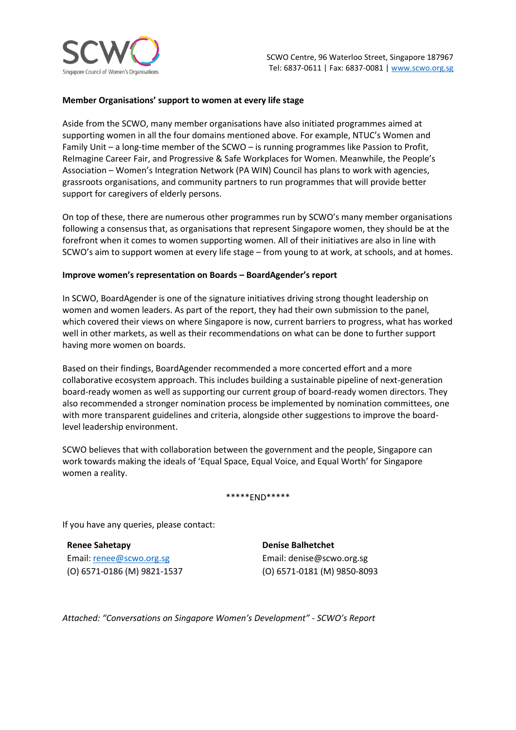

#### **Member Organisations' support to women at every life stage**

Aside from the SCWO, many member organisations have also initiated programmes aimed at supporting women in all the four domains mentioned above. For example, NTUC's Women and Family Unit – a long-time member of the SCWO – is running programmes like Passion to Profit, ReImagine Career Fair, and Progressive & Safe Workplaces for Women. Meanwhile, the People's Association – Women's Integration Network (PA WIN) Council has plans to work with agencies, grassroots organisations, and community partners to run programmes that will provide better support for caregivers of elderly persons.

On top of these, there are numerous other programmes run by SCWO's many member organisations following a consensus that, as organisations that represent Singapore women, they should be at the forefront when it comes to women supporting women. All of their initiatives are also in line with SCWO's aim to support women at every life stage – from young to at work, at schools, and at homes.

#### **Improve women's representation on Boards – BoardAgender's report**

In SCWO, BoardAgender is one of the signature initiatives driving strong thought leadership on women and women leaders. As part of the report, they had their own submission to the panel, which covered their views on where Singapore is now, current barriers to progress, what has worked well in other markets, as well as their recommendations on what can be done to further support having more women on boards.

Based on their findings, BoardAgender recommended a more concerted effort and a more collaborative ecosystem approach. This includes building a sustainable pipeline of next-generation board-ready women as well as supporting our current group of board-ready women directors. They also recommended a stronger nomination process be implemented by nomination committees, one with more transparent guidelines and criteria, alongside other suggestions to improve the boardlevel leadership environment.

SCWO believes that with collaboration between the government and the people, Singapore can work towards making the ideals of 'Equal Space, Equal Voice, and Equal Worth' for Singapore women a reality.

#### \*\*\*\*\*END\*\*\*\*\*

If you have any queries, please contact:

**Renee Sahetapy** Email[: renee@scwo.org.sg](mailto:renee@scwo.org.sg)  (O) 6571-0186 (M) 9821-1537 **Denise Balhetchet**  Email: denise@scwo.org.sg (O) 6571-0181 (M) 9850-8093

*Attached: "Conversations on Singapore Women's Development" - SCWO's Report*